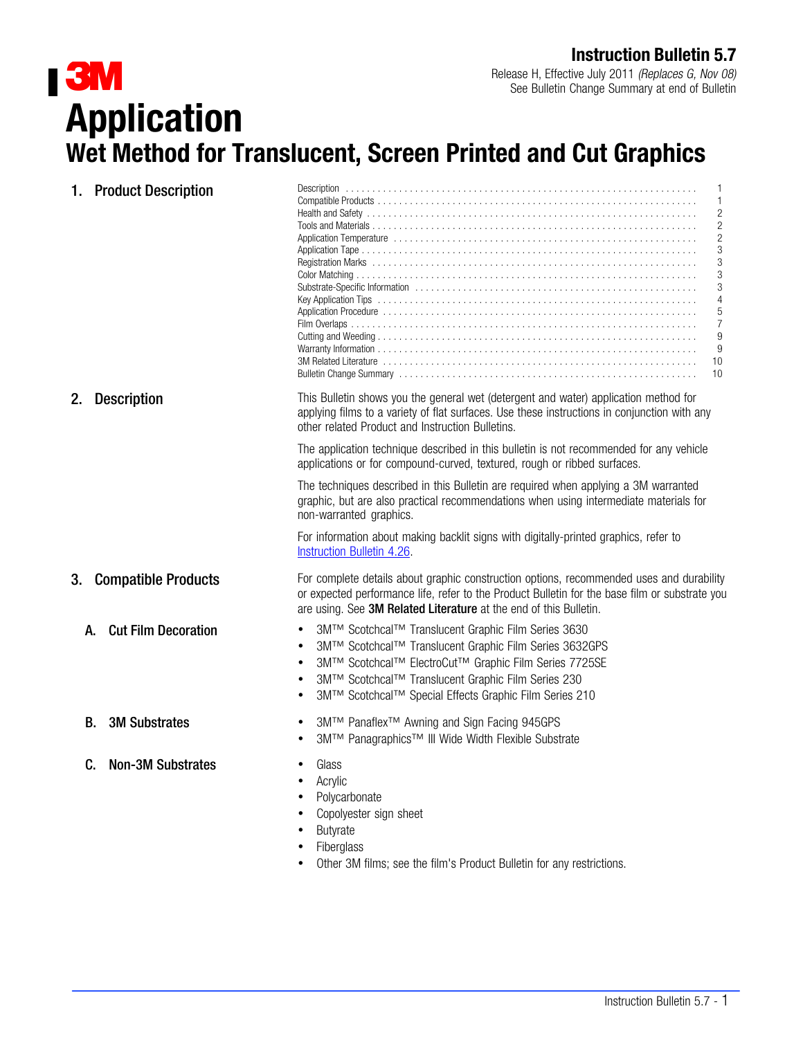See Bulletin Change Summary at end of Bulletin **3M**<br>Application Wet Method for Translucent, Screen Printed and Cut Graphics

| 1. Product Description           | 1<br>2<br>2<br>2<br>3<br>3<br>3<br>3<br>4<br>5<br>$\overline{7}$<br>9<br>9<br>10<br>10                                                                                                                                                                                                 |  |
|----------------------------------|----------------------------------------------------------------------------------------------------------------------------------------------------------------------------------------------------------------------------------------------------------------------------------------|--|
| <b>Description</b><br>2.         | This Bulletin shows you the general wet (detergent and water) application method for<br>applying films to a variety of flat surfaces. Use these instructions in conjunction with any<br>other related Product and Instruction Bulletins.                                               |  |
|                                  | The application technique described in this bulletin is not recommended for any vehicle<br>applications or for compound-curved, textured, rough or ribbed surfaces.                                                                                                                    |  |
|                                  | The techniques described in this Bulletin are required when applying a 3M warranted<br>graphic, but are also practical recommendations when using intermediate materials for<br>non-warranted graphics.                                                                                |  |
|                                  | For information about making backlit signs with digitally-printed graphics, refer to<br>Instruction Bulletin 4.26.                                                                                                                                                                     |  |
| <b>Compatible Products</b><br>3. | For complete details about graphic construction options, recommended uses and durability<br>or expected performance life, refer to the Product Bulletin for the base film or substrate you<br>are using. See 3M Related Literature at the end of this Bulletin.                        |  |
| <b>Cut Film Decoration</b><br>А. | 3M™ Scotchcal™ Translucent Graphic Film Series 3630<br>3M™ Scotchcal™ Translucent Graphic Film Series 3632GPS<br>3M™ Scotchcal™ ElectroCut™ Graphic Film Series 7725SE<br>3M™ Scotchcal™ Translucent Graphic Film Series 230<br>3M™ Scotchcal™ Special Effects Graphic Film Series 210 |  |
| <b>3M Substrates</b><br>В.       | 3M™ Panaflex <sup>™</sup> Awning and Sign Facing 945GPS<br>3M™ Panagraphics™ III Wide Width Flexible Substrate                                                                                                                                                                         |  |
| <b>Non-3M Substrates</b><br>C.   | Glass<br>Acrylic<br>Polycarbonate<br>Copolyester sign sheet<br><b>Butyrate</b><br>Fiberglass<br>Other 3M films; see the film's Product Bulletin for any restrictions.                                                                                                                  |  |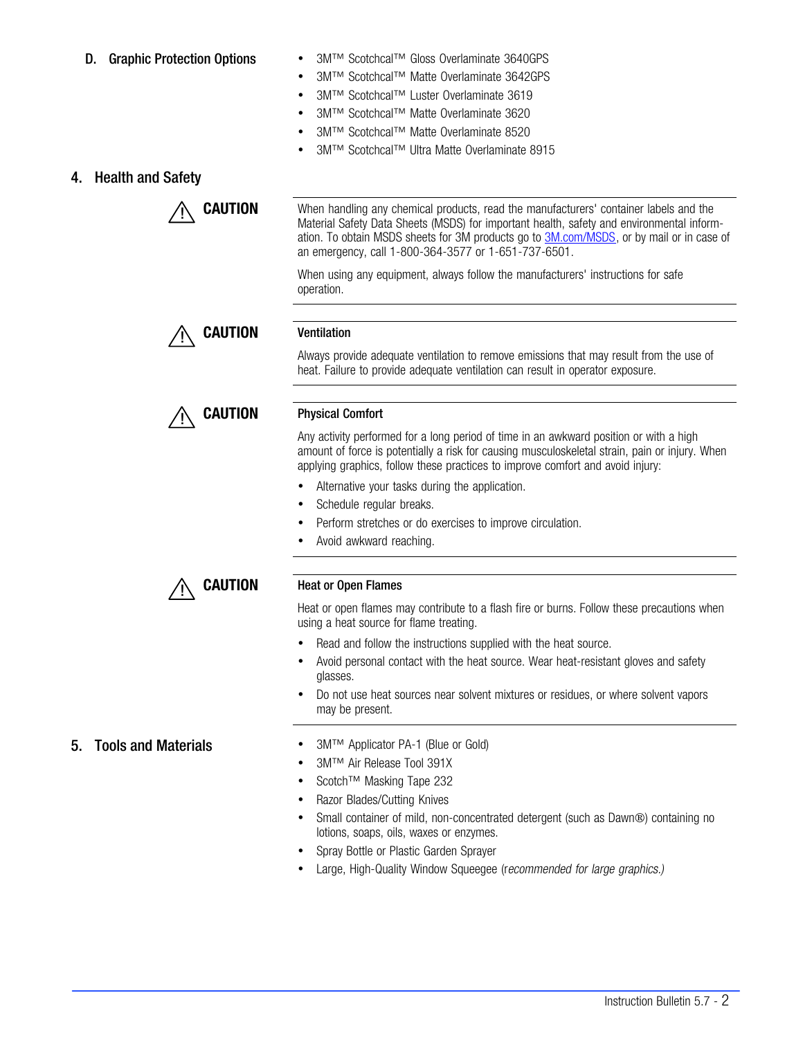- D. Graphic Protection Options 3M™ Scotchcal™ Gloss Overlaminate 3640GPS
	- 3M™ Scotchcal™ Matte Overlaminate 3642GPS
	- 3M™ Scotchcal™ Luster Overlaminate 3619
	- 3M™ Scotchcal™ Matte Overlaminate 3620
	- 3M™ Scotchcal™ Matte Overlaminate 8520
	- 3M™ Scotchcal™ Ultra Matte Overlaminate 8915

# 4. Health and Safety



**CAUTION** When handling any chemical products, read the manufacturers' container labels and the Material Safety Data Sheets (MSDS) for important health, safety and environmental information. To obtain MSDS sheets for 3M products go to **3M.com/MSDS**, or by mail or in case of an emergency, call 1-800-364-3577 or 1-651-737-6501.

> When using any equipment, always follow the manufacturers' instructions for safe operation.



### CAUTION Physical Comfort

Any activity performed for a long period of time in an awkward position or with a high amount of force is potentially a risk for causing musculoskeletal strain, pain or injury. When applying graphics, follow these practices to improve comfort and avoid injury:

Always provide adequate ventilation to remove emissions that may result from the use of

heat. Failure to provide adequate ventilation can result in operator exposure.

- Alternative your tasks during the application.
- Schedule regular breaks.
- Perform stretches or do exercises to improve circulation.
- Avoid awkward reaching.

## **CAUTION** Heat or Open Flames

Heat or open flames may contribute to a flash fire or burns. Follow these precautions when using a heat source for flame treating.

- Read and follow the instructions supplied with the heat source.
- Avoid personal contact with the heat source. Wear heat-resistant gloves and safety glasses.
- Do not use heat sources near solvent mixtures or residues, or where solvent vapors may be present.

- 5. Tools and Materials 3M™ Applicator PA-1 (Blue or Gold)
	- 3M™ Air Release Tool 391X
	- Scotch™ Masking Tape 232
	- Razor Blades/Cutting Knives
	- Small container of mild, non-concentrated detergent (such as Dawn®) containing no lotions, soaps, oils, waxes or enzymes.
	- Spray Bottle or Plastic Garden Sprayer
	- Large, High-Quality Window Squeegee (recommended for large graphics.)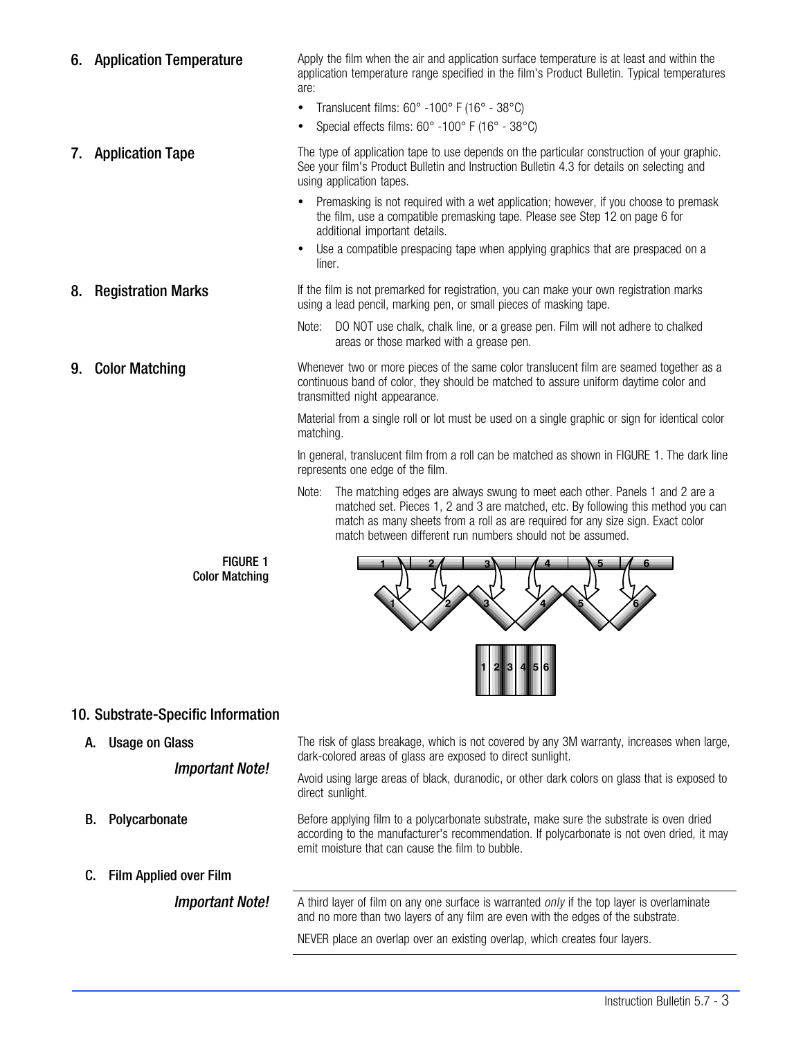6. Application Temperature **Apply the film when the air and application** surface temperature is at least and within the application temperature range specified in the film's Product Bulletin. Typical temperatures are: • Translucent films:  $60^\circ$  -100 $^\circ$  F (16 $^\circ$  - 38 $^\circ$ C) Special effects films: 60° -100° F (16° - 38°C) **7.** Application Tape The type of application tape to use depends on the particular construction of your graphic. See your film's Product Bulletin and Instruction Bulletin 4.3 for details on selecting and using application tapes. Premasking is not required with a wet application; however, if you choose to premask the film, use a compatible premasking tape. Please see Step [12](#page-5-0) on page [6](#page-5-0) for additional important details. Use a compatible prespacing tape when applying graphics that are prespaced on a liner. 8. Registration Marks **If the film is not premarked for registration**, you can make your own registration marks using a lead pencil, marking pen, or small pieces of masking tape. Note: DO NOT use chalk, chalk line, or a grease pen. Film will not adhere to chalked areas or those marked with a grease pen. **9. Color Matching** Whenever two or more pieces of the same color translucent film are seamed together as a continuous band of color, they should be matched to assure uniform daytime color and transmitted night appearance. Material from a single roll or lot must be used on a single graphic or sign for identical color matching. In general, translucent film from a roll can be matched as shown in FIGURE 1. The dark line represents one edge of the film. Note: The matching edges are always swung to meet each other. Panels 1 and 2 are a matched set. Pieces 1, 2 and 3 are matched, etc. By following this method you can match as many sheets from a roll as are required for any size sign. Exact color match between different run numbers should not be assumed. FIGURE 1



# 10. Substrate-Specific Information

A. Usage on Glass

Important Note!

Color Matching

The risk of glass breakage, which is not covered by any 3M warranty, increases when large, dark-colored areas of glass are exposed to direct sunlight.

Avoid using large areas of black, duranodic, or other dark colors on glass that is exposed to direct sunlight.

**B.** Polycarbonate Before applying film to a polycarbonate substrate, make sure the substrate is oven dried according to the manufacturer's recommendation. If polycarbonate is not oven dried, it may emit moisture that can cause the film to bubble.

C. Film Applied over Film

**Important Note!** A third layer of film on any one surface is warranted only if the top layer is overlaminate and no more than two layers of any film are even with the edges of the substrate.

NEVER place an overlap over an existing overlap, which creates four layers.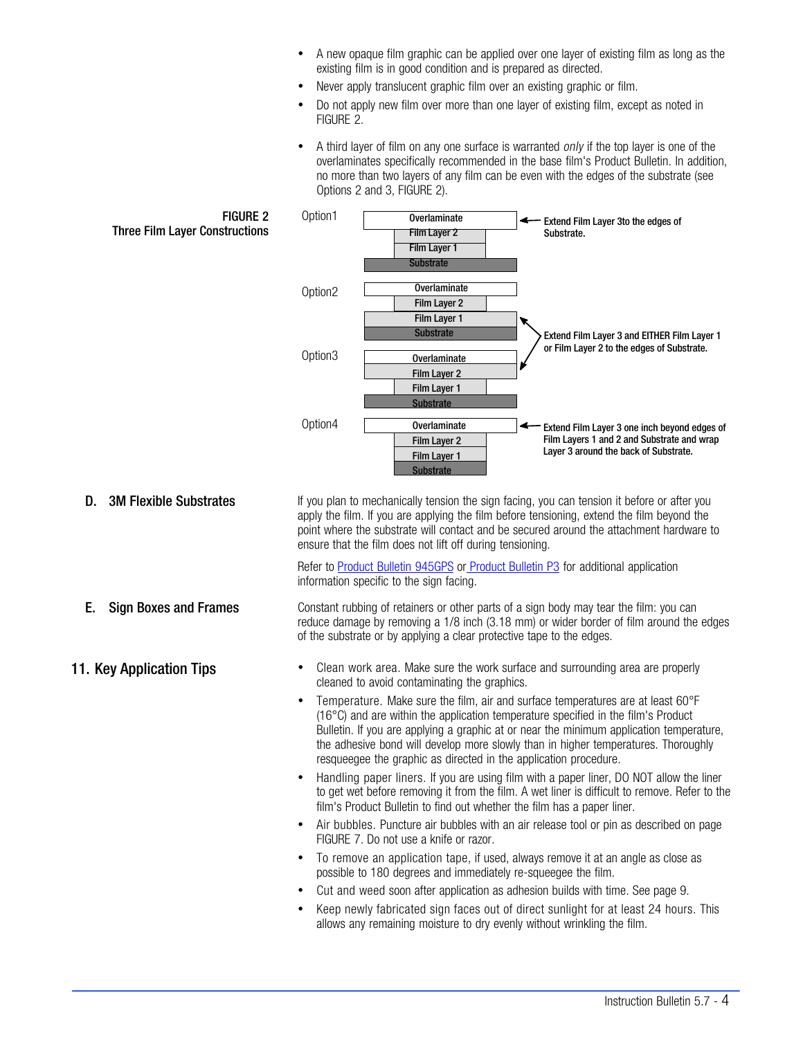- A new opaque film graphic can be applied over one layer of existing film as long as the existing film is in good condition and is prepared as directed.
- Never apply translucent graphic film over an existing graphic or film.
- Do not apply new film over more than one layer of existing film, except as noted in FIGURE 2.
- A third layer of film on any one surface is warranted *only* if the top layer is one of the overlaminates specifically recommended in the base film's Product Bulletin. In addition, no more than two layers of any film can be even with the edges of the substrate (see Options 2 and 3, FIGURE 2).



allows any remaining moisture to dry evenly without wrinkling the film.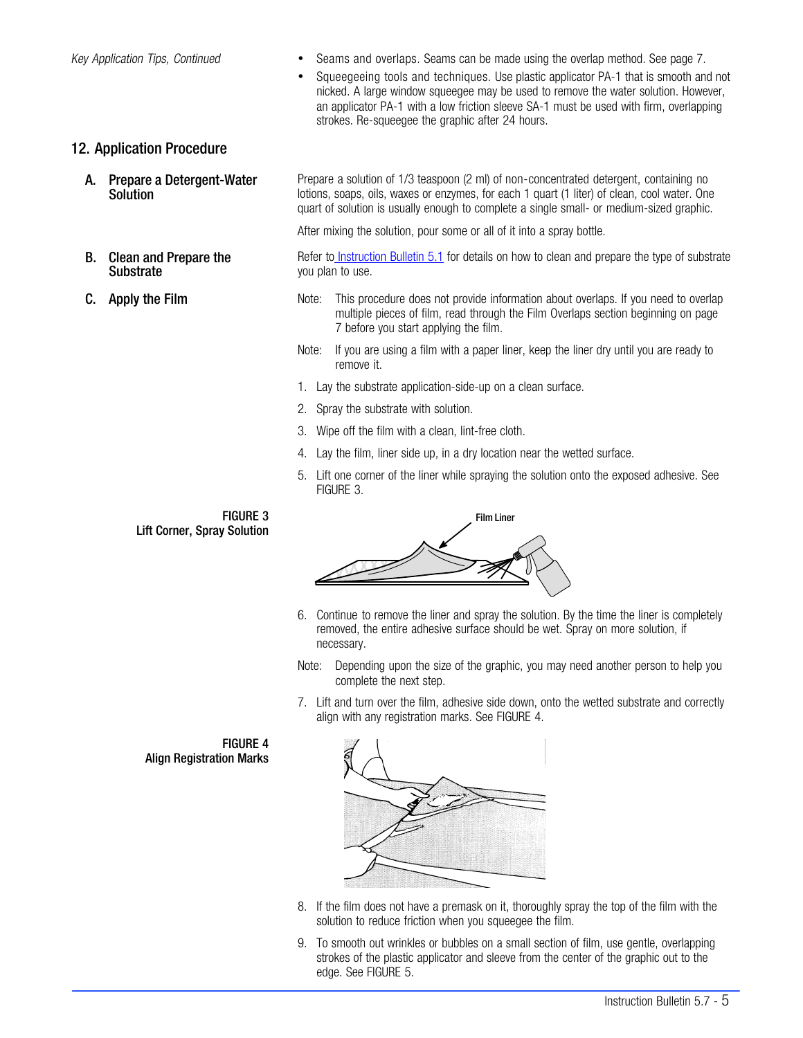- <span id="page-4-0"></span>Key Application Tips, Continued **·** Seams and overlaps. Seams can be made using the overlap method. See page [7](#page-6-0).
	- Squeegeeing tools and techniques. Use plastic applicator PA-1 that is smooth and not nicked. A large window squeegee may be used to remove the water solution. However, an applicator PA-1 with a low friction sleeve SA-1 must be used with firm, overlapping strokes. Re-squeegee the graphic after 24 hours.

## 12. Application Procedure

- A. Prepare a Detergent-Water **Solution**
- B. Clean and Prepare the Substrate
- 

Prepare a solution of 1/3 teaspoon (2 ml) of non-concentrated detergent, containing no lotions, soaps, oils, waxes or enzymes, for each 1 quart (1 liter) of clean, cool water. One quart of solution is usually enough to complete a single small- or medium-sized graphic.

After mixing the solution, pour some or all of it into a spray bottle.

Refer t[o Instruction Bulletin 5.1](http://multimedia.mmm.com/mws/mediawebserver.dyn?6666660Zjcf6lVs6EVs666TtMCOrrrrQ-) for details on how to clean and prepare the type of substrate you plan to use.

- **C.** Apply the Film Note: This procedure does not provide information about overlaps. If you need to overlap multiple pieces of film, read through the Film Overlaps section beginning on page [7](#page-6-0) before you start applying the film.
	- Note: If you are using a film with a paper liner, keep the liner dry until you are ready to remove it.
	- 1. Lay the substrate application-side-up on a clean surface.
	- 2. Spray the substrate with solution.
	- 3. Wipe off the film with a clean, lint-free cloth.
	- 4. Lay the film, liner side up, in a dry location near the wetted surface.
	- 5. Lift one corner of the liner while spraying the solution onto the exposed adhesive. See FIGURE 3.

FIGURE 3 Lift Corner, Spray Solution



- 6. Continue to remove the liner and spray the solution. By the time the liner is completely removed, the entire adhesive surface should be wet. Spray on more solution, if necessary.
- Note: Depending upon the size of the graphic, you may need another person to help you complete the next step.
- 7. Lift and turn over the film, adhesive side down, onto the wetted substrate and correctly align with any registration marks. See FIGURE 4.



- 8. If the film does not have a premask on it, thoroughly spray the top of the film with the solution to reduce friction when you squeegee the film.
- 9. To smooth out wrinkles or bubbles on a small section of film, use gentle, overlapping strokes of the plastic applicator and sleeve from the center of the graphic out to the edge. See [FIGURE 5](#page-5-0).

FIGURE 4 Align Registration Marks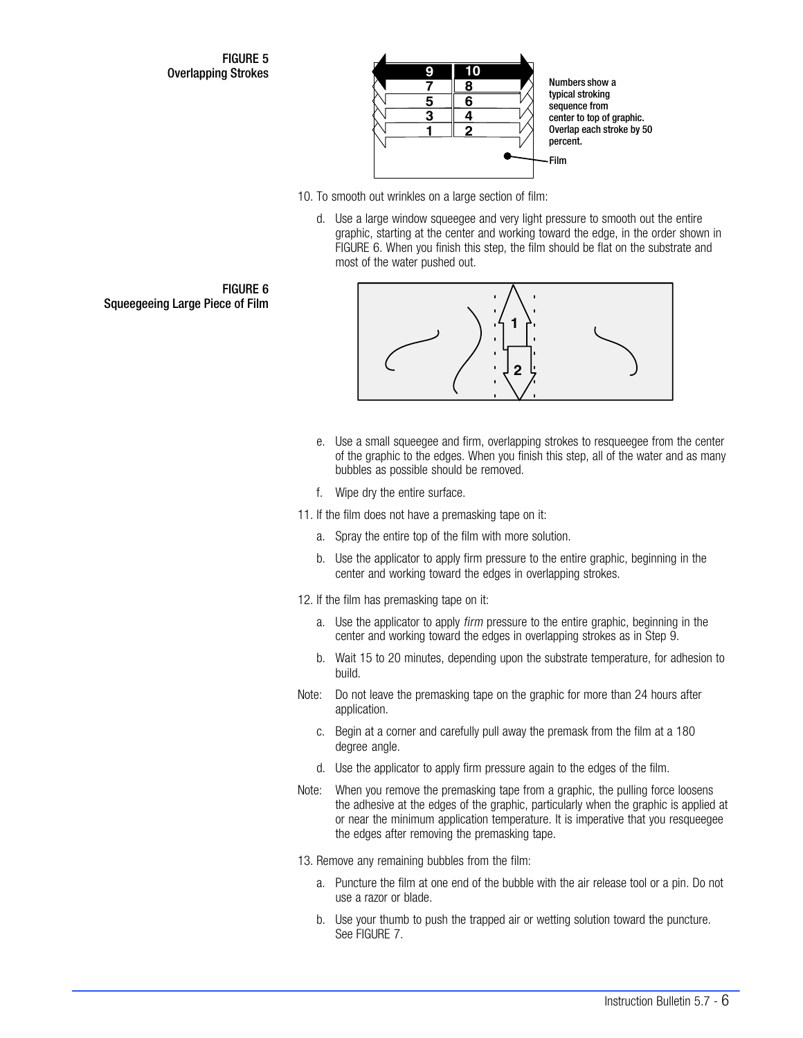<span id="page-5-0"></span>FIGURE 5 Overlapping Strokes **9**



10. To smooth out wrinkles on a large section of film:

d. Use a large window squeegee and very light pressure to smooth out the entire graphic, starting at the center and working toward the edge, in the order shown in FIGURE 6. When you finish this step, the film should be flat on the substrate and most of the water pushed out.



- e. Use a small squeegee and firm, overlapping strokes to resqueegee from the center of the graphic to the edges. When you finish this step, all of the water and as many bubbles as possible should be removed.
- f. Wipe dry the entire surface.
- 11. If the film does not have a premasking tape on it:
	- a. Spray the entire top of the film with more solution.
	- b. Use the applicator to apply firm pressure to the entire graphic, beginning in the center and working toward the edges in overlapping strokes.
- 12. If the film has premasking tape on it:
	- a. Use the applicator to apply firm pressure to the entire graphic, beginning in the center and working toward the edges in overlapping strokes as in Step [9.](#page-4-0)
	- b. Wait 15 to 20 minutes, depending upon the substrate temperature, for adhesion to build.
- Note: Do not leave the premasking tape on the graphic for more than 24 hours after application.
	- c. Begin at a corner and carefully pull away the premask from the film at a 180 degree angle.
	- d. Use the applicator to apply firm pressure again to the edges of the film.
- Note: When you remove the premasking tape from a graphic, the pulling force loosens the adhesive at the edges of the graphic, particularly when the graphic is applied at or near the minimum application temperature. It is imperative that you resqueegee the edges after removing the premasking tape.
- 13. Remove any remaining bubbles from the film:
	- a. Puncture the film at one end of the bubble with the air release tool or a pin. Do not use a razor or blade.
	- b. Use your thumb to push the trapped air or wetting solution toward the puncture. See [FIGURE 7](#page-6-0).

FIGURE 6 Squeegeeing Large Piece of Film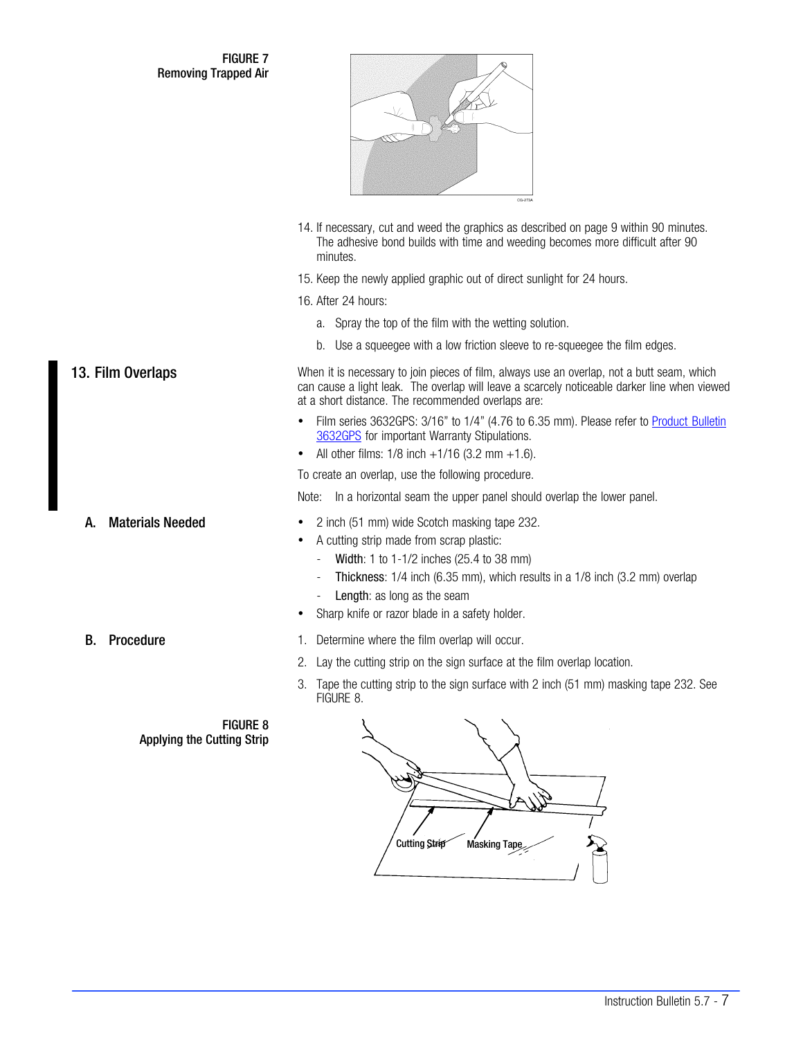<span id="page-6-0"></span>FIGURE 7 Removing Trapped Air



- 14. If necessary, cut and weed the graphics as described on page [9](#page-8-0) within 90 minutes. The adhesive bond builds with time and weeding becomes more difficult after 90 minutes.
- 15. Keep the newly applied graphic out of direct sunlight for 24 hours.

16. After 24 hours:

- a. Spray the top of the film with the wetting solution.
- b. Use a squeegee with a low friction sleeve to re-squeegee the film edges.

13. Film Overlaps **Number 12. In the Upper Stars** When it is necessary to join pieces of film, always use an overlap, not a butt seam, which can cause a light leak. The overlap will leave a scarcely noticeable darker line when viewed at a short distance. The recommended overlaps are:

- Film series 3632GPS: 3/16" to 1/4" (4.76 to 6.35 mm). Please refer to [Product Bulletin](http://multimedia.mmm.com/mws/mediawebserver.dyn?6666660Zjcf6lVs6EVs666s_CCOrrrrQ-http://multimedia.mmm.com/mws/mediawebserver.dyn?6666660Zjcf6lVs6EVs666s_CCOrrrrQ-) [3632GPS](http://multimedia.mmm.com/mws/mediawebserver.dyn?6666660Zjcf6lVs6EVs666s_CCOrrrrQ-http://multimedia.mmm.com/mws/mediawebserver.dyn?6666660Zjcf6lVs6EVs666s_CCOrrrrQ-) for important Warranty Stipulations.
- All other films:  $1/8$  inch  $+1/16$  (3.2 mm  $+1.6$ ).

To create an overlap, use the following procedure.

Note: In a horizontal seam the upper panel should overlap the lower panel.

- A. Materials Needed **1988 2 inch (51 mm)** wide Scotch masking tape 232.
	- A cutting strip made from scrap plastic:
		- Width: 1 to 1-1/2 inches (25.4 to 38 mm)
		- Thickness: 1/4 inch (6.35 mm), which results in a 1/8 inch (3.2 mm) overlap
		- Length: as long as the seam
	- Sharp knife or razor blade in a safety holder.

## **B.** Procedure **1.** Determine where the film overlap will occur.

- 2. Lay the cutting strip on the sign surface at the film overlap location.
- 3. Tape the cutting strip to the sign surface with 2 inch (51 mm) masking tape 232. See FIGURE 8.

FIGURE 8 Applying the Cutting Strip



Instruction Bulletin 5.7 - 7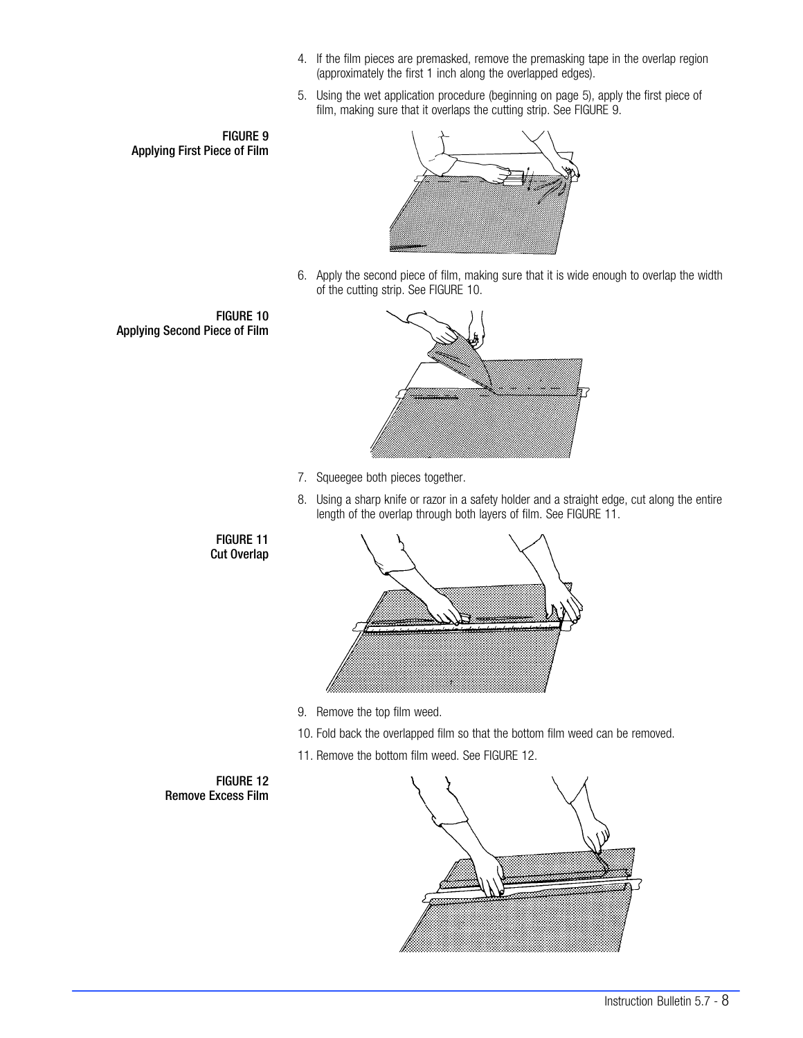- 4. If the film pieces are premasked, remove the premasking tape in the overlap region (approximately the first 1 inch along the overlapped edges).
- 5. Using the wet application procedure (beginning on page [5](#page-4-0)), apply the first piece of film, making sure that it overlaps the cutting strip. See FIGURE 9.





6. Apply the second piece of film, making sure that it is wide enough to overlap the width of the cutting strip. See FIGURE 10.





- 7. Squeegee both pieces together.
- 8. Using a sharp knife or razor in a safety holder and a straight edge, cut along the entire length of the overlap through both layers of film. See FIGURE 11.



- 9. Remove the top film weed.
- 10. Fold back the overlapped film so that the bottom film weed can be removed.
- 11. Remove the bottom film weed. See FIGURE 12.

FIGURE 12 Remove Excess Film

FIGURE 11 Cut Overlap

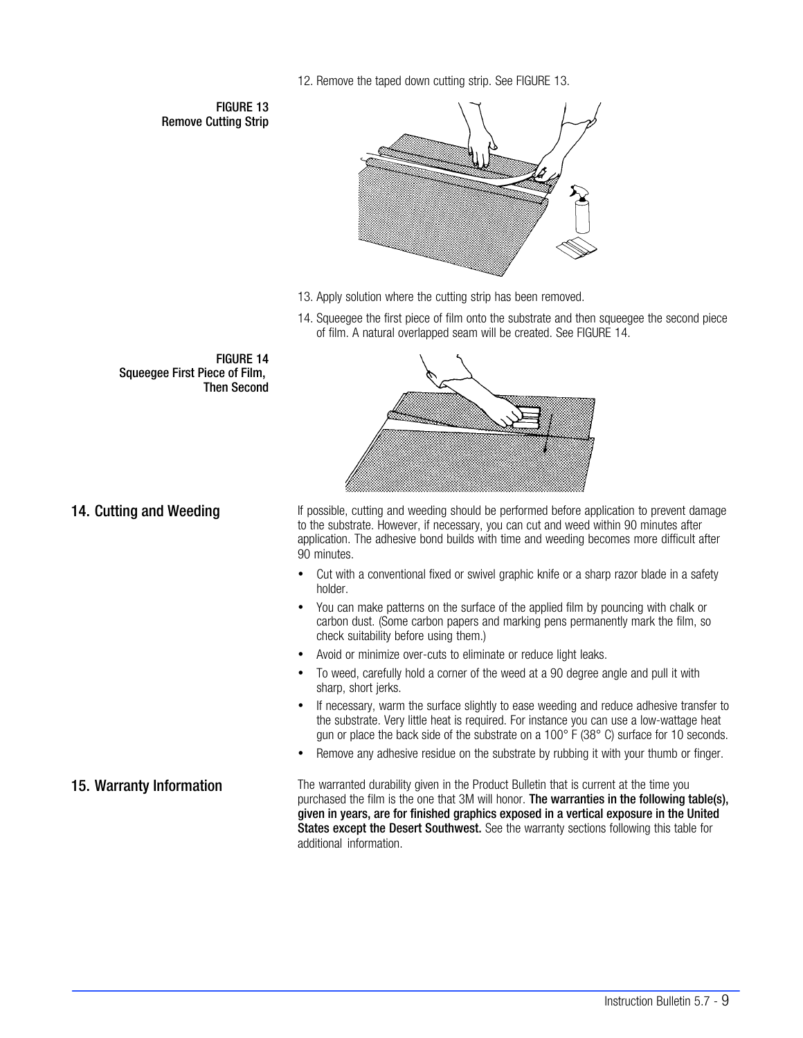12. Remove the taped down cutting strip. See FIGURE 13.

<span id="page-8-0"></span>FIGURE 13 Remove Cutting Strip



- 13. Apply solution where the cutting strip has been removed.
- 14. Squeegee the first piece of film onto the substrate and then squeegee the second piece of film. A natural overlapped seam will be created. See FIGURE 14.



14. Cutting and Weeding **If possible, cutting and weeding should be performed before application to prevent damage** to the substrate. However, if necessary, you can cut and weed within 90 minutes after application. The adhesive bond builds with time and weeding becomes more difficult after 90 minutes.

- Cut with a conventional fixed or swivel graphic knife or a sharp razor blade in a safety holder.
- You can make patterns on the surface of the applied film by pouncing with chalk or carbon dust. (Some carbon papers and marking pens permanently mark the film, so check suitability before using them.)
- Avoid or minimize over-cuts to eliminate or reduce light leaks.
- To weed, carefully hold a corner of the weed at a 90 degree angle and pull it with sharp, short jerks.
- If necessary, warm the surface slightly to ease weeding and reduce adhesive transfer to the substrate. Very little heat is required. For instance you can use a low-wattage heat gun or place the back side of the substrate on a  $100^{\circ}$  F (38 $^{\circ}$  C) surface for 10 seconds.
- Remove any adhesive residue on the substrate by rubbing it with your thumb or finger.

15. Warranty Information The warranted durability given in the Product Bulletin that is current at the time you purchased the film is the one that 3M will honor. The warranties in the following table(s), given in years, are for finished graphics exposed in a vertical exposure in the United States except the Desert Southwest. See the warranty sections following this table for additional information.